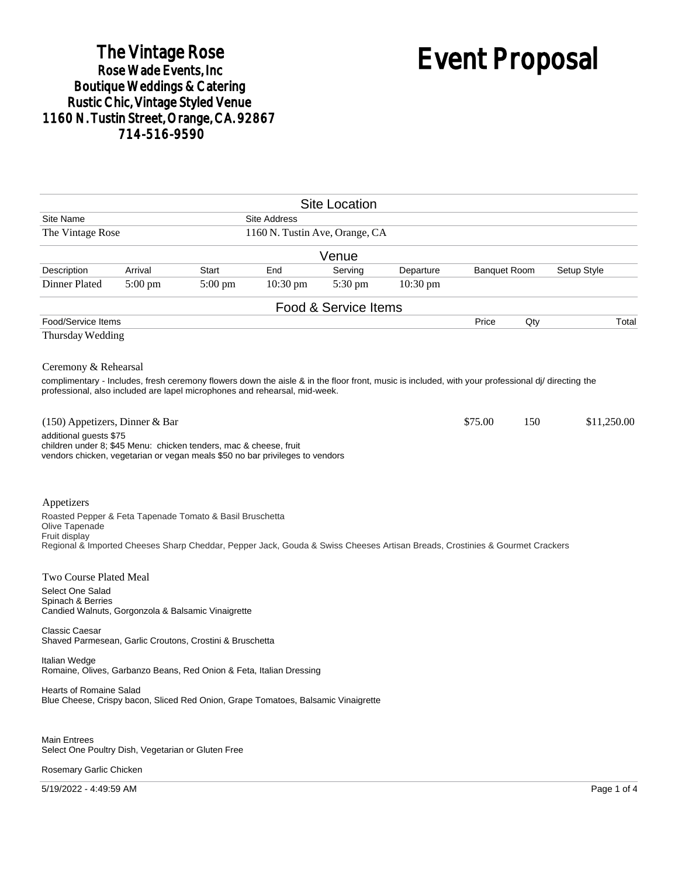## The Vintage Rose<br>Rose Wade Events, Inc Boutique Weddings & Catering<br>Rustic Chic, Vintage Styled Venue 1160 N. Tustin Street, Orange, CA. 92867 714-516-9590

# Event Proposal

|                                                                                                                                                                                                                                                         |         |                   |                                | <b>Site Location</b> |           |                     |     |             |
|---------------------------------------------------------------------------------------------------------------------------------------------------------------------------------------------------------------------------------------------------------|---------|-------------------|--------------------------------|----------------------|-----------|---------------------|-----|-------------|
| Site Name                                                                                                                                                                                                                                               |         |                   | <b>Site Address</b>            |                      |           |                     |     |             |
| The Vintage Rose                                                                                                                                                                                                                                        |         |                   | 1160 N. Tustin Ave, Orange, CA |                      |           |                     |     |             |
|                                                                                                                                                                                                                                                         |         |                   |                                | Venue                |           |                     |     |             |
| Description                                                                                                                                                                                                                                             | Arrival | <b>Start</b>      | End                            | Serving              | Departure | <b>Banquet Room</b> |     | Setup Style |
| Dinner Plated                                                                                                                                                                                                                                           | 5:00 pm | $5:00 \text{ pm}$ | $10:30 \text{ pm}$             | $5:30 \text{ pm}$    | 10:30 pm  |                     |     |             |
|                                                                                                                                                                                                                                                         |         |                   |                                | Food & Service Items |           |                     |     |             |
| Food/Service Items                                                                                                                                                                                                                                      |         |                   |                                |                      |           | Price               | Qty | Total       |
| Thursday Wedding                                                                                                                                                                                                                                        |         |                   |                                |                      |           |                     |     |             |
| Ceremony & Rehearsal<br>complimentary - Includes, fresh ceremony flowers down the aisle & in the floor front, music is included, with your professional di/ directing the<br>professional, also included are lapel microphones and rehearsal, mid-week. |         |                   |                                |                      |           |                     |     |             |
| (150) Appetizers, Dinner & Bar<br>additional guests \$75<br>children under 8; \$45 Menu: chicken tenders, mac & cheese, fruit<br>vendors chicken, vegetarian or vegan meals \$50 no bar privileges to vendors                                           |         |                   |                                |                      |           | \$75.00             | 150 | \$11,250.00 |
| Appetizers<br>Roasted Pepper & Feta Tapenade Tomato & Basil Bruschetta<br>Olive Tapenade<br>Fruit display<br>Regional & Imported Cheeses Sharp Cheddar, Pepper Jack, Gouda & Swiss Cheeses Artisan Breads, Crostinies & Gourmet Crackers                |         |                   |                                |                      |           |                     |     |             |
| Two Course Plated Meal<br>Select One Salad<br>Spinach & Berries<br>Candied Walnuts, Gorgonzola & Balsamic Vinaigrette                                                                                                                                   |         |                   |                                |                      |           |                     |     |             |
| <b>Classic Caesar</b><br>Shaved Parmesean, Garlic Croutons, Crostini & Bruschetta                                                                                                                                                                       |         |                   |                                |                      |           |                     |     |             |
| Italian Wedge<br>Romaine, Olives, Garbanzo Beans, Red Onion & Feta, Italian Dressing                                                                                                                                                                    |         |                   |                                |                      |           |                     |     |             |
| <b>Hearts of Romaine Salad</b><br>Blue Cheese, Crispy bacon, Sliced Red Onion, Grape Tomatoes, Balsamic Vinaigrette                                                                                                                                     |         |                   |                                |                      |           |                     |     |             |
| <b>Main Entrees</b><br>Select One Poultry Dish, Vegetarian or Gluten Free<br>Rosemary Garlic Chicken                                                                                                                                                    |         |                   |                                |                      |           |                     |     |             |

5/19/2022 - 4:49:59 AM Page 1 of 4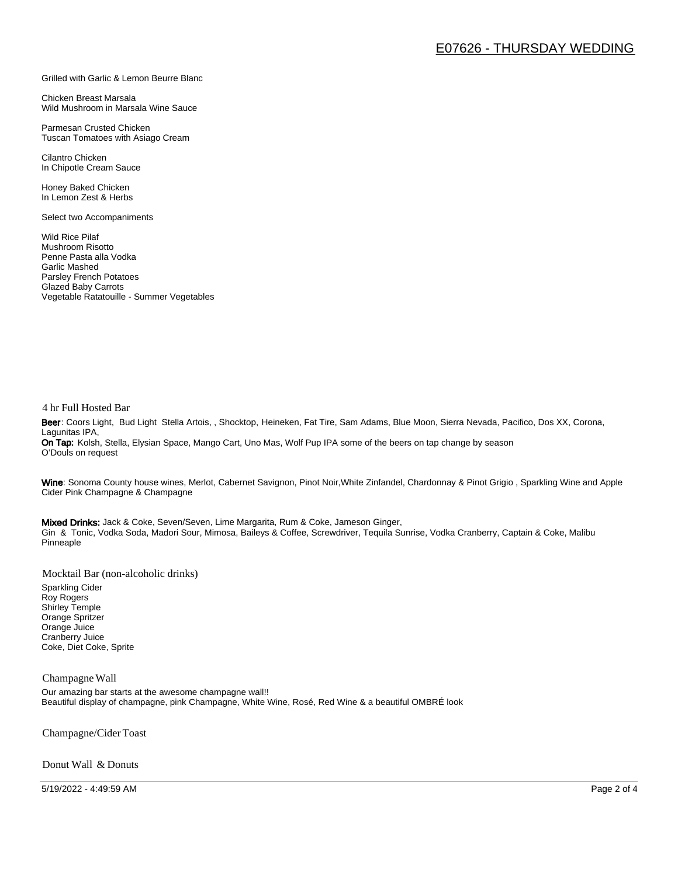#### Grilled with Garlic & Lemon Beurre Blanc

Chicken Breast Marsala Wild Mushroom in Marsala Wine Sauce

Parmesan Crusted Chicken Tuscan Tomatoes with Asiago Cream

Cilantro Chicken In Chipotle Cream Sauce

Honey Baked Chicken In Lemon Zest & Herbs

Select two Accompaniments

Wild Rice Pilaf Mushroom Risotto Penne Pasta alla Vodka Garlic Mashed Parsley French Potatoes Glazed Baby Carrots Vegetable Ratatouille - Summer Vegetables

#### 4 hr Full Hosted Bar

Beer: Coors Light, Bud Light Stella Artois, , Shocktop, Heineken, Fat Tire, Sam Adams, Blue Moon, Sierra Nevada, Pacifico, Dos XX, Corona, Lagunitas IPA, On Tap: Kolsh, Stella, Elysian Space, Mango Cart, Uno Mas, Wolf Pup IPA some of the beers on tap change by season O'Douls on request

Wine: Sonoma County house wines, Merlot, Cabernet Savignon, Pinot Noir, White Zinfandel, Chardonnay & Pinot Grigio, Sparkling Wine and Apple Cider Pink Champagne & Champagne

Mixed Drinks: Jack & Coke, Seven/Seven, Lime Margarita, Rum & Coke, Jameson Ginger, Gin & Tonic, Vodka Soda, Madori Sour, Mimosa, Baileys & Coffee, Screwdriver, Tequila Sunrise, Vodka Cranberry, Captain & Coke, Malibu Pinneaple

Mocktail Bar (non-alcoholic drinks)

Sparkling Cider Roy Rogers Shirley Temple Orange Spritzer Orange Juice Cranberry Juice Coke, Diet Coke, Sprite

#### Champagne Wall

Our amazing bar starts at the awesome champagne wall!! Beautiful display of champagne, pink Champagne, White Wine, Rosé, Red Wine & a beautiful OMBRÉ look

Champagne/Cider Toast

Donut Wall & Donuts

5/19/2022 - 4:49:59 AM Page 2 of 4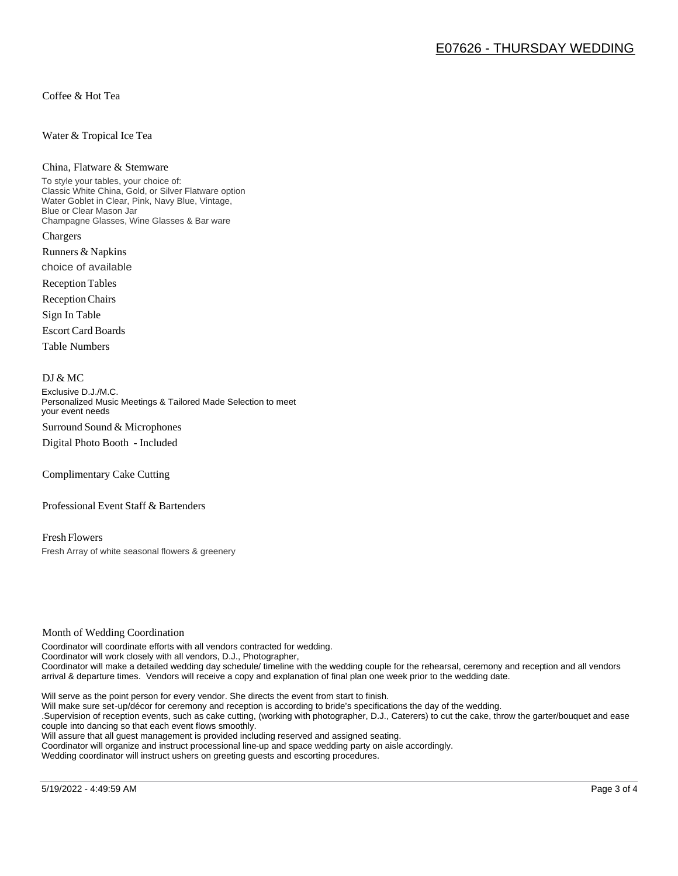Coffee & Hot Tea

Water & Tropical Ice Tea

#### China, Flatware & Stemware

To style your tables, your choice of: Classic White China, Gold, or Silver Flatware option Water Goblet in Clear, Pink, Navy Blue, Vintage, Blue or Clear Mason Jar Champagne Glasses, Wine Glasses & Bar ware Chargers

Runners & Napkins choice of available

Reception Tables

Reception Chairs

Sign In Table

Escort Card Boards

Table Numbers

#### DJ & MC

Exclusive D.J./M.C. Personalized Music Meetings & Tailored Made Selection to meet your event needs Surround Sound & Microphones

Digital Photo Booth - Included

Complimentary Cake Cutting

Professional Event Staff & Bartenders

Fresh Flowers Fresh Array of white seasonal flowers & greenery

#### Month of Wedding Coordination

Coordinator will coordinate efforts with all vendors contracted for wedding. Coordinator will work closely with all vendors, D.J., Photographer, Coordinator will make a detailed wedding day schedule/ timeline with the wedding couple for the rehearsal, ceremony and reception and all vendors arrival & departure times. Vendors will receive a copy and explanation of final plan one week prior to the wedding date.

Will serve as the point person for every vendor. She directs the event from start to finish.

Will make sure set-up/décor for ceremony and reception is according to bride's specifications the day of the wedding.

.Supervision of reception events, such as cake cutting, (working with photographer, D.J., Caterers) to cut the cake, throw the garter/bouquet and ease couple into dancing so that each event flows smoothly.

Will assure that all guest management is provided including reserved and assigned seating.

Coordinator will organize and instruct processional line-up and space wedding party on aisle accordingly.

Wedding coordinator will instruct ushers on greeting guests and escorting procedures.